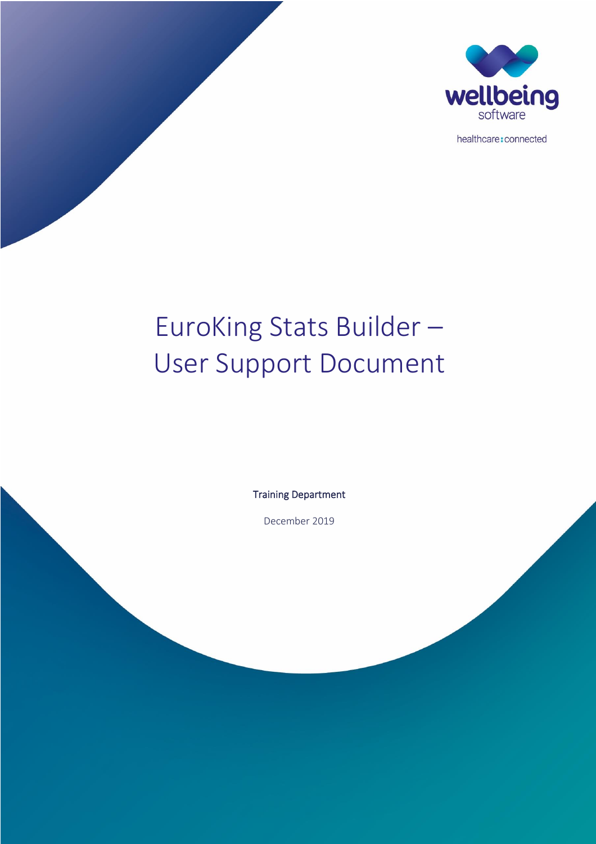

healthcare: connected

# EuroKing Stats Builder – User Support Document

Training Department

December 2019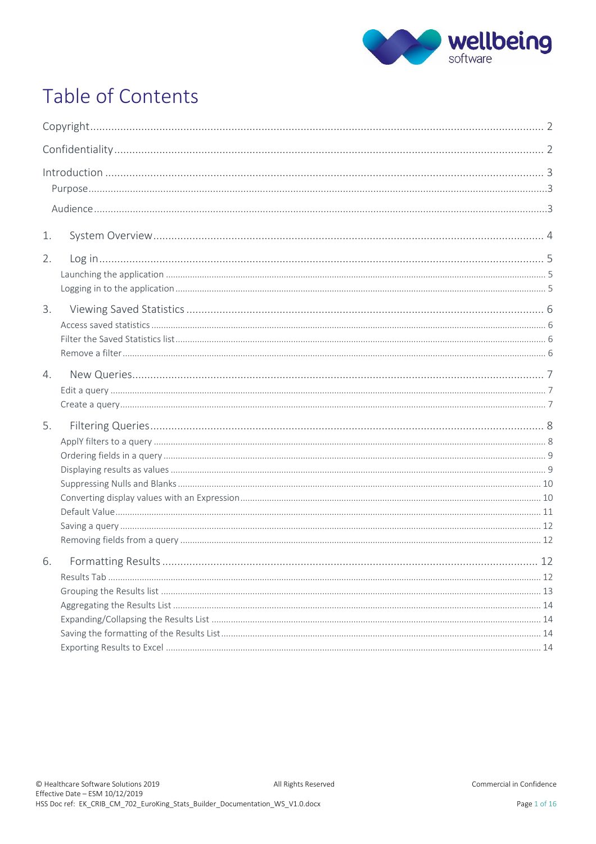

## Table of Contents

| $\label{eq:1} \mbox{Introduction} \,\, \ldots \,\, \ldots \,\, \ldots \,\, \ldots \,\, \ldots \,\, \ldots \,\, \ldots \,\, \ldots \,\, \ldots \,\, \ldots \,\, \ldots \,\, \ldots \,\, \ldots \,\, \ldots \,\, \ldots \,\, \ldots \,\, \ldots \,\, \ldots \,\, \ldots \,\, \ldots \,\, \ldots \,\, \ldots \,\, \ldots \,\, \ldots \,\, \ldots \,\, \ldots \,\, \ldots \,\, \ldots \,\, \ldots \,\, \ldots \,\, \ldots \,\, \ldots \,\, \ldots \,\, \ldots \,\,$ |  |
|-----------------------------------------------------------------------------------------------------------------------------------------------------------------------------------------------------------------------------------------------------------------------------------------------------------------------------------------------------------------------------------------------------------------------------------------------------------------|--|
| 1.                                                                                                                                                                                                                                                                                                                                                                                                                                                              |  |
| 2.                                                                                                                                                                                                                                                                                                                                                                                                                                                              |  |
| 3.                                                                                                                                                                                                                                                                                                                                                                                                                                                              |  |
| $4_{\cdot}$                                                                                                                                                                                                                                                                                                                                                                                                                                                     |  |
| 5.                                                                                                                                                                                                                                                                                                                                                                                                                                                              |  |
| 6.                                                                                                                                                                                                                                                                                                                                                                                                                                                              |  |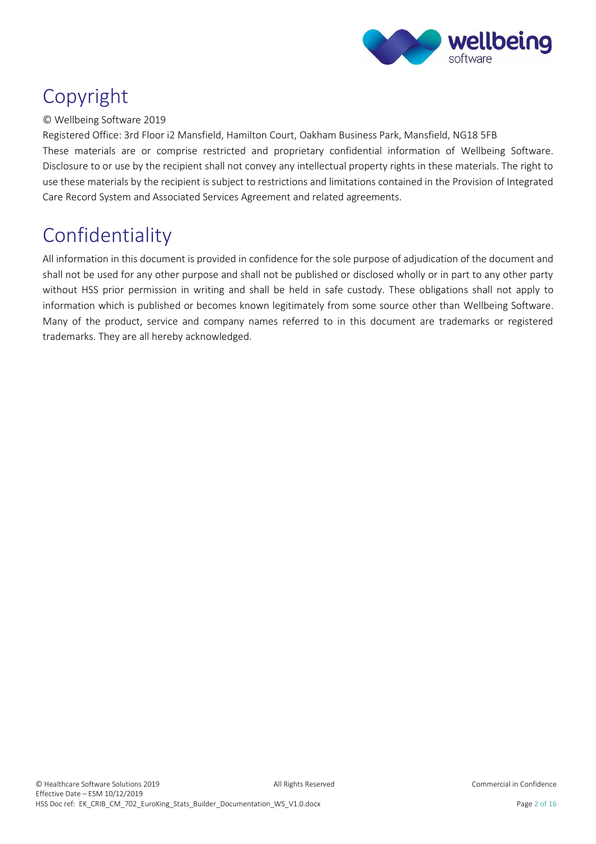

### <span id="page-2-0"></span>Copyright

#### © Wellbeing Software 2019

Registered Office: 3rd Floor i2 Mansfield, Hamilton Court, Oakham Business Park, Mansfield, NG18 5FB These materials are or comprise restricted and proprietary confidential information of Wellbeing Software. Disclosure to or use by the recipient shall not convey any intellectual property rights in these materials. The right to use these materials by the recipient is subject to restrictions and limitations contained in the Provision of Integrated Care Record System and Associated Services Agreement and related agreements.

### <span id="page-2-1"></span>Confidentiality

All information in this document is provided in confidence for the sole purpose of adjudication of the document and shall not be used for any other purpose and shall not be published or disclosed wholly or in part to any other party without HSS prior permission in writing and shall be held in safe custody. These obligations shall not apply to information which is published or becomes known legitimately from some source other than Wellbeing Software. Many of the product, service and company names referred to in this document are trademarks or registered trademarks. They are all hereby acknowledged.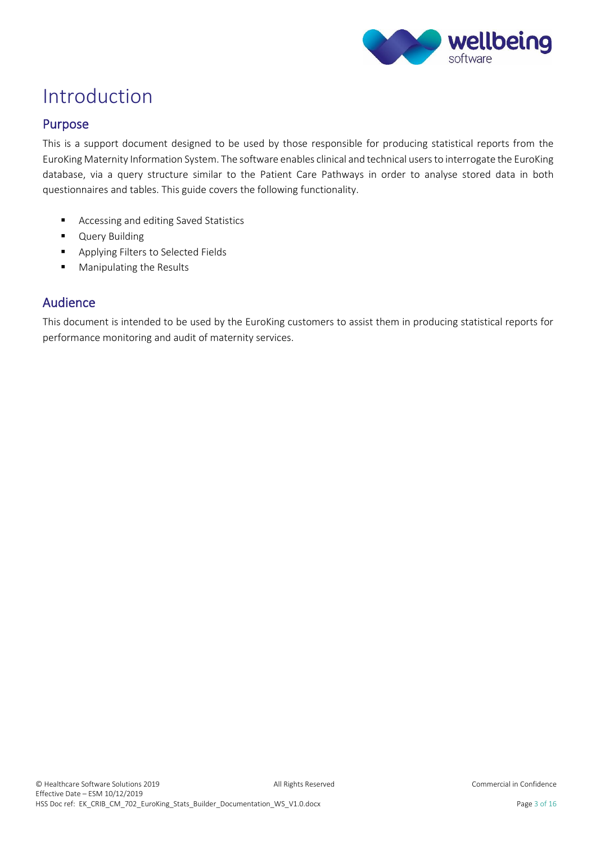

### <span id="page-3-0"></span>Introduction

#### <span id="page-3-1"></span>Purpose

This is a support document designed to be used by those responsible for producing statistical reports from the EuroKing Maternity Information System. The software enables clinical and technical users to interrogate the EuroKing database, via a query structure similar to the Patient Care Pathways in order to analyse stored data in both questionnaires and tables. This guide covers the following functionality.

- Accessing and editing Saved Statistics
- **■** Query Building
- Applying Filters to Selected Fields
- Manipulating the Results

#### <span id="page-3-2"></span>Audience

This document is intended to be used by the EuroKing customers to assist them in producing statistical reports for performance monitoring and audit of maternity services.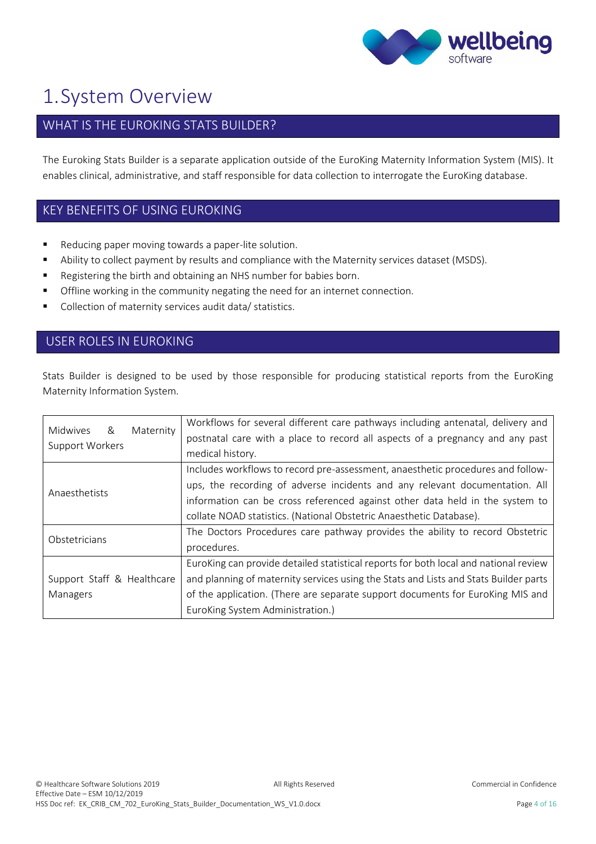

### <span id="page-4-0"></span>1.System Overview

### WHAT IS THE EUROKING STATS BUILDER?

The Euroking Stats Builder is a separate application outside of the EuroKing Maternity Information System (MIS). It enables clinical, administrative, and staff responsible for data collection to interrogate the EuroKing database.

#### KEY BENEFITS OF USING EUROKING

- Reducing paper moving towards a paper-lite solution.
- Ability to collect payment by results and compliance with the Maternity services dataset (MSDS).
- Registering the birth and obtaining an NHS number for babies born.
- **•** Offline working in the community negating the need for an internet connection.
- Collection of maternity services audit data/ statistics.

#### USER ROLES IN EUROKING

Stats Builder is designed to be used by those responsible for producing statistical reports from the EuroKing Maternity Information System.

|                                            | Workflows for several different care pathways including antenatal, delivery and      |
|--------------------------------------------|--------------------------------------------------------------------------------------|
| Midwives &<br>Maternity<br>Support Workers | postnatal care with a place to record all aspects of a pregnancy and any past        |
|                                            | medical history.                                                                     |
|                                            | Includes workflows to record pre-assessment, anaesthetic procedures and follow-      |
| Anaesthetists                              | ups, the recording of adverse incidents and any relevant documentation. All          |
|                                            | information can be cross referenced against other data held in the system to         |
|                                            | collate NOAD statistics. (National Obstetric Anaesthetic Database).                  |
| Obstetricians                              | The Doctors Procedures care pathway provides the ability to record Obstetric         |
|                                            | procedures.                                                                          |
|                                            | EuroKing can provide detailed statistical reports for both local and national review |
| Support Staff & Healthcare                 | and planning of maternity services using the Stats and Lists and Stats Builder parts |
| Managers                                   | of the application. (There are separate support documents for EuroKing MIS and       |
|                                            | EuroKing System Administration.)                                                     |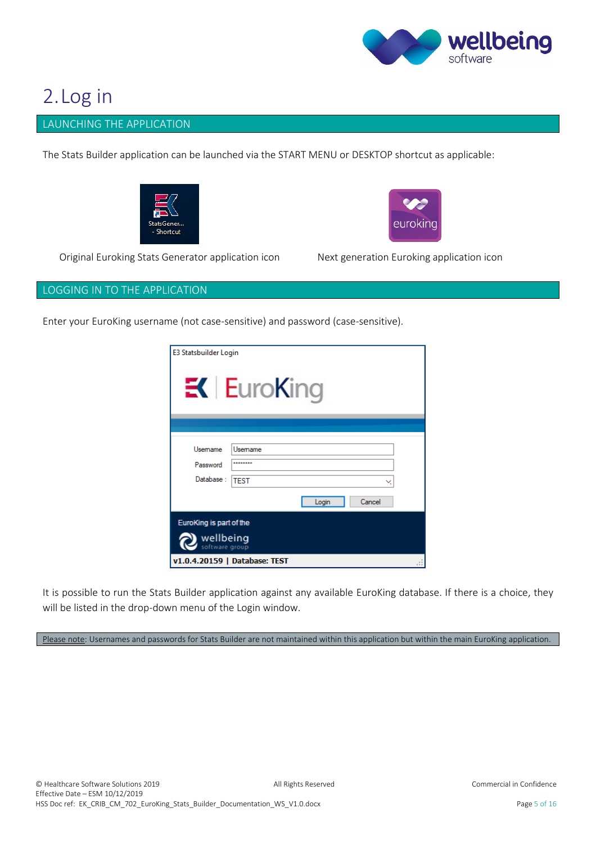

### <span id="page-5-0"></span>2.Log in

#### <span id="page-5-1"></span>LAUNCHING THE APPLICATION

The Stats Builder application can be launched via the START MENU or DESKTOP shortcut as applicable:





Original Euroking Stats Generator application icon Next generation Euroking application icon

#### <span id="page-5-2"></span>LOGGING IN TO THE APPLICATION

Enter your EuroKing username (not case-sensitive) and password (case-sensitive).

| E3 Statsbuilder Login                                  | $K$ EuroKing                   |  |
|--------------------------------------------------------|--------------------------------|--|
| Usemame<br>Password                                    | Usemame<br>                    |  |
| Database:                                              | <b>TEST</b><br>Cancel<br>Login |  |
| EuroKing is part of the<br>wellbeing<br>software group |                                |  |
|                                                        | v1.0.4.20159   Database: TEST  |  |

It is possible to run the Stats Builder application against any available EuroKing database. If there is a choice, they will be listed in the drop-down menu of the Login window.

Please note: Usernames and passwords for Stats Builder are not maintained within this application but within the main EuroKing application.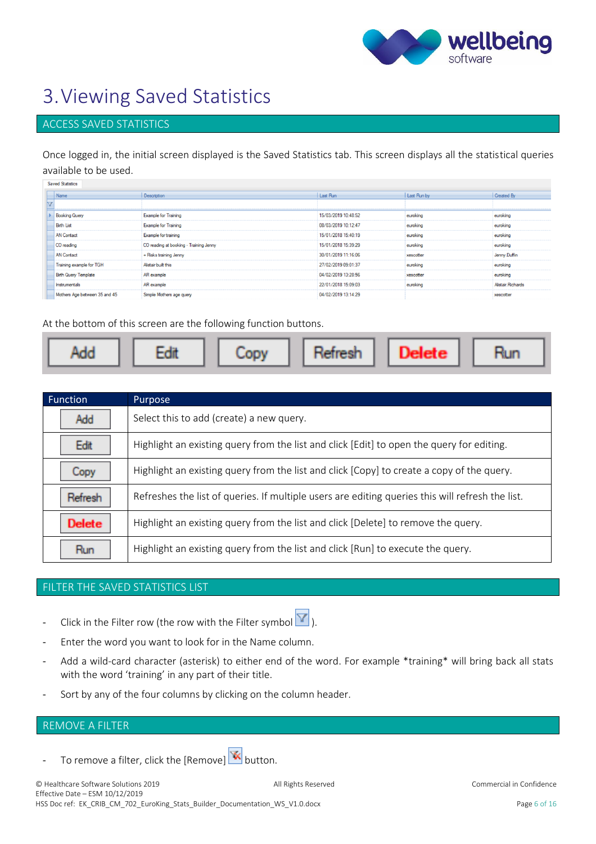

### <span id="page-6-0"></span>3.Viewing Saved Statistics

#### <span id="page-6-1"></span>ACCESS SAVED STATISTICS

Once logged in, the initial screen displayed is the Saved Statistics tab. This screen displays all the statistical queries available to be used.  $\sim$ 

| Saved Statistics              |                                        |                     |             |                   |
|-------------------------------|----------------------------------------|---------------------|-------------|-------------------|
| Name                          | Description                            | Last Run            | Last Run by | Created By        |
|                               |                                        |                     |             |                   |
| <b>Booking Query</b>          | <b>Example for Training</b>            | 15/03/2019 10:48:52 | euroking    | euroking          |
| <b>Birth List</b>             | <b>Example for Training</b>            | 08/03/2019 10:12:47 | euroking    | euroking          |
| <b>AN</b> Contact             | Example for training                   | 15/01/2018 15:40:19 | euroking    | euroking          |
| CO reading                    | CO reading at booking - Training Jenny | 15/01/2018 15:39:29 | euroking    | euroking          |
| <b>AN</b> Contact             | + Risks training Jenny                 | 30/01/2019 11:16:06 | xescotter   | Jenny.Duffin      |
| Training example for TGH      | Alistair built this                    | 27/02/2019 09:01:37 | euroking    | euroking          |
| <b>Birth Query Template</b>   | AR example                             | 04/02/2019 13:28:56 | xescotter   | euroking          |
| Instrumentals                 | AR example                             | 22/01/2018 15:09:03 | euroking    | Alistair Richards |
| Mothers Age between 35 and 45 | Simple Mothers age query               | 04/02/2019 13:14:29 |             | xescotter         |

At the bottom of this screen are the following function buttons.

| Function      | Purpose                                                                                          |
|---------------|--------------------------------------------------------------------------------------------------|
| Add           | Select this to add (create) a new query.                                                         |
| Edit          | Highlight an existing query from the list and click [Edit] to open the query for editing.        |
| LODV          | Highlight an existing query from the list and click [Copy] to create a copy of the query.        |
| Refresh       | Refreshes the list of queries. If multiple users are editing queries this will refresh the list. |
| <b>Delete</b> | Highlight an existing query from the list and click [Delete] to remove the query.                |
|               | Highlight an existing query from the list and click [Run] to execute the query.                  |

#### <span id="page-6-2"></span>FILTER THE SAVED STATISTICS LIST

- Click in the Filter row (the row with the Filter symbol  $\boxed{\mathbf{Y}}$ ).
- 
- Enter the word you want to look for in the Name column.
- Add a wild-card character (asterisk) to either end of the word. For example \*training\* will bring back all stats with the word 'training' in any part of their title.
- Sort by any of the four columns by clicking on the column header.

#### <span id="page-6-3"></span>REMOVE A FILTER

To remove a filter, click the [Remove]  $\overline{\mathbf{K}}$  button.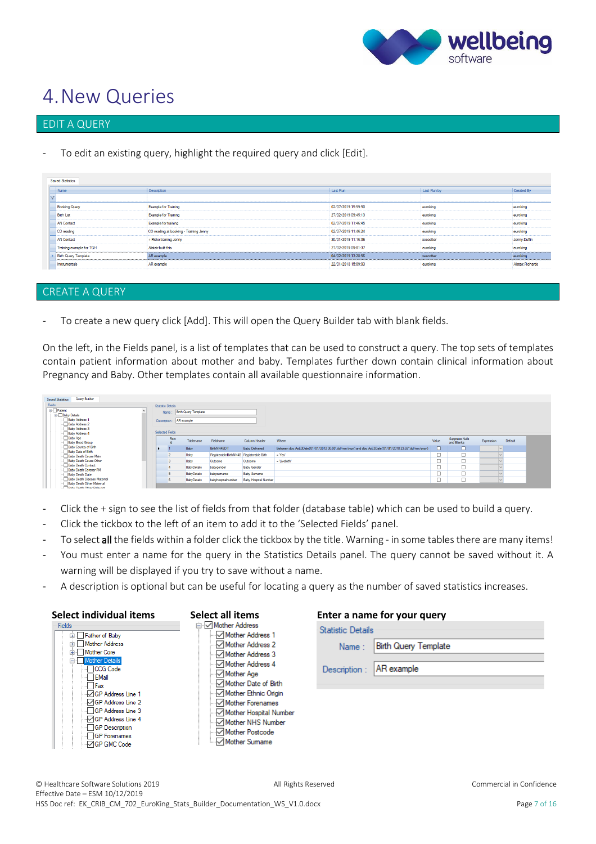

### <span id="page-7-0"></span>4.New Queries

#### <span id="page-7-1"></span>EDIT A QUERY

To edit an existing query, highlight the required query and click [Edit].

| Description                            | Last Run            | Last Run by | Created By        |
|----------------------------------------|---------------------|-------------|-------------------|
|                                        |                     |             |                   |
| <b>Example for Training</b>            | 02/07/2019 15:59:50 | euroking    | euroking          |
| <b>Example for Training</b>            | 27/02/2019 09:45:13 | euroking    | euroking          |
| Example for training                   | 02/07/2019 11:46:45 | euroking    | euroking          |
| CO reading at booking - Training Jenny | 02/07/2019 11:46:24 | euroking    | euroking          |
| + Risks training Jenny                 | 30/01/2019 11:16:06 | xescotter   | Jenny Duffin      |
| Alistair built this                    | 27/02/2019 09:01:37 | euroking    | euroking          |
| AR example                             | 04/02/2019 13:28:56 | xescotter   | euroking          |
| AR example                             | 22/01/2018 15:09:03 | euroking    | Alistair Richards |
|                                        |                     |             |                   |

#### <span id="page-7-2"></span>CREATE A QUERY

To create a new query click [Add]. This will open the Query Builder tab with blank fields.

On the left, in the Fields panel, is a list of templates that can be used to construct a query. The top sets of templates contain patient information about mother and baby. Templates further down contain clinical information about Pregnancy and Baby. Other templates contain all available questionnaire information.

| Fields<br><b>E-Patient</b>                              |              |                          |                            |                                        |                             |                                                                                                     |        |                              |            |         |
|---------------------------------------------------------|--------------|--------------------------|----------------------------|----------------------------------------|-----------------------------|-----------------------------------------------------------------------------------------------------|--------|------------------------------|------------|---------|
|                                                         |              | <b>Statistic Details</b> |                            |                                        |                             |                                                                                                     |        |                              |            |         |
| <b>Baby Details</b>                                     |              |                          | Name: Birth Query Template |                                        |                             |                                                                                                     |        |                              |            |         |
| Baby Address 1<br>Baby Address 2                        | Description: |                          | AR example                 |                                        |                             |                                                                                                     |        |                              |            |         |
| -- Baby Address 3<br>Baby Address 4                     |              | <b>Selected Fields</b>   |                            |                                        |                             |                                                                                                     |        |                              |            |         |
| Baby Age<br>Baby Blood Group                            |              | Row<br>H                 | Tablename                  | Fieldname                              | Column Header               | Where                                                                                               | Value  | Suppress Nulls<br>and Blanks | Expression | Default |
| Baby Country of Birth<br>Baby Date of Birth             |              |                          | Baby                       | BirthNN4BDT                            | <b>Baby Delivered</b>       | Between dbo AsE3Date(01/01/2012 00:00"/dd/mm/vvvv') and dbo AsE3Date(01/01/2018 23:59"/dd/mm/vvvv') | $\Box$ | $\Box$                       | $\sim$     |         |
| Baby Death Cause Main                                   |              |                          | Baby                       | RegisterableBithNN4B Registerable Bith |                             | = "Yes"                                                                                             | □      | −                            | $\sim$     |         |
| - Baby Death Cause Other                                |              |                          | Baby                       | Outcome                                | Outcome                     | = 'Livebirth'                                                                                       | Ò      |                              |            |         |
| Baby Death Contact<br>Baby Death Coroner PM             |              |                          | <b>BabyDetails</b>         | babygender                             | <b>Baby Gender</b>          |                                                                                                     | □      |                              |            |         |
| Baby Death Date                                         |              |                          | <b>BabyDetails</b>         | babysumame                             | <b>Baby Sumame</b>          |                                                                                                     | □      | -                            |            |         |
| Baby Death Disease Matemal<br>-Baby Death Other Matemal |              |                          | <b>BabyDetails</b>         | babyhospitalnumber                     | <b>Baby Hospital Number</b> |                                                                                                     | □      |                              |            |         |

- Click the + sign to see the list of fields from that folder (database table) which can be used to build a query.
- Click the tickbox to the left of an item to add it to the 'Selected Fields' panel.
- To select all the fields within a folder click the tickbox by the title. Warning in some tables there are many items!
- You must enter a name for the query in the Statistics Details panel. The query cannot be saved without it. A warning will be displayed if you try to save without a name.
- A description is optional but can be useful for locating a query as the number of saved statistics increases.

| Select individual items                                                                                                                                                                                                                                                                     | Select all items                                                                                                                    | Enter a name for your query                                                                    |
|---------------------------------------------------------------------------------------------------------------------------------------------------------------------------------------------------------------------------------------------------------------------------------------------|-------------------------------------------------------------------------------------------------------------------------------------|------------------------------------------------------------------------------------------------|
| <b>Fields</b><br>E Father of Baby<br><b>Address</b><br><b>E</b> Mother Core<br>Mother Details<br>CCG Code<br>EMail<br>$\Box$ Fax<br>⊹√GP Address Line 1<br>⊹√GP Address Line 2<br>GP Address Line 3<br>"IGP Address Line 4<br><b>GP</b> Description<br><b>GP</b> Forenames<br>⊹√GP GMC Code | □ Mother Address<br>Mother Address 1<br>…√ Mother Address 4<br>… i Mother Forenames<br>… Mother Hospital Number<br>ं√ Mother Sumame | <b>Statistic Details</b><br><b>Birth Query Template</b><br>Name:<br>AR example<br>Description: |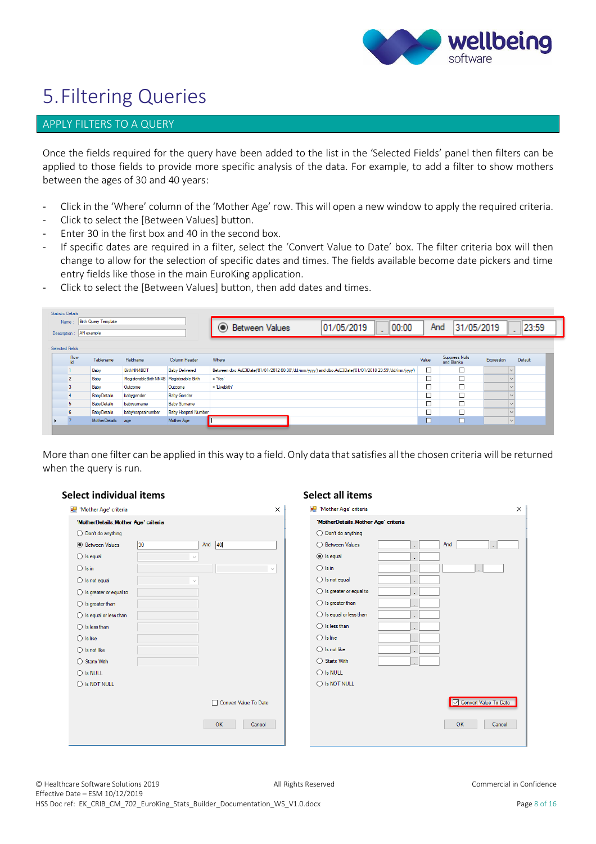

### <span id="page-8-0"></span>5.Filtering Queries

#### <span id="page-8-1"></span>APPLY FILTERS TO A QUERY

Once the fields required for the query have been added to the list in the 'Selected Fields' panel then filters can be applied to those fields to provide more specific analysis of the data. For example, to add a filter to show mothers between the ages of 30 and 40 years:

- Click in the 'Where' column of the 'Mother Age' row. This will open a new window to apply the required criteria.
- Click to select the [Between Values] button.
- Enter 30 in the first box and 40 in the second box.
- If specific dates are required in a filter, select the 'Convert Value to Date' box. The filter criteria box will then change to allow for the selection of specific dates and times. The fields available become date pickers and time entry fields like those in the main EuroKing application.
- Click to select the [Between Values] button, then add dates and times.

| Name: | AR example<br>Description: | <b>Birth Query Template</b> |                       |                             | 01/05/2019<br>  00:00<br><b>Between Values</b>                                                          | And    | 31/05/2019                          |              | 23:59   |
|-------|----------------------------|-----------------------------|-----------------------|-----------------------------|---------------------------------------------------------------------------------------------------------|--------|-------------------------------------|--------------|---------|
|       | <b>Selected Fields</b>     |                             |                       |                             |                                                                                                         |        |                                     |              |         |
|       | Row<br>Id.                 | Tablename                   | Fieldname             | Column Header               | Where                                                                                                   | Value  | <b>Suppress Nulls</b><br>and Blanks | Expression   | Default |
|       |                            | Baby                        | BirthNN4BDT           | <b>Baby Delivered</b>       | Between dbo.AsE3Date('01/01/2012 00:00','dd/mm/yyyy') and dbo.AsE3Date('01/01/2018 23:59','dd/mm/yyyy') | $\Box$ |                                     | $\checkmark$ |         |
|       | $\overline{2}$             | Baby                        | RegisterableBirthNN4B | Registerable Birth          | $=$ 'Yes'                                                                                               |        |                                     |              |         |
|       | 3                          | Baby                        | Outcome               | Outcome                     | = 'Livebirth'                                                                                           |        |                                     |              |         |
|       | -4                         | <b>BabyDetails</b>          | babygender            | <b>Baby Gender</b>          |                                                                                                         |        |                                     |              |         |
|       | 5                          | <b>BabyDetails</b>          | babysumame            | <b>Baby Sumame</b>          |                                                                                                         |        |                                     | $\sim$       |         |
|       | 6                          | <b>BabyDetails</b>          | babyhospitalnumber    | <b>Baby Hospital Number</b> |                                                                                                         |        |                                     |              |         |
|       |                            | <b>MotherDetails</b>        | age                   | Mother Age                  |                                                                                                         |        |                                     | $\checkmark$ |         |

More than one filter can be applied in this way to a field. Only data that satisfies all the chosen criteria will be returned when the query is run.

| Select individual items             |              |                                       | Select all items                      |                                              |
|-------------------------------------|--------------|---------------------------------------|---------------------------------------|----------------------------------------------|
| Mother Age' criteria                |              | X                                     | De 'Mother Age' criteria              | $\times$                                     |
| 'MotherDetails.Mother Age' criteria |              |                                       | 'MotherDetails.Mother Age' criteria   |                                              |
| $\bigcirc$ Don't do anything        |              |                                       | $\bigcirc$ Don't do anything          |                                              |
| <b>Between Values</b>               | 30           | And 40                                | ◯ Between Values<br>And               |                                              |
| $\bigcirc$ is equal                 |              |                                       | $\odot$ Is equal<br>×,                |                                              |
| $\bigcirc$ Is in                    |              | $\sim$                                | $\bigcirc$ Is in                      |                                              |
| $\bigcirc$ is not equal             | $\checkmark$ |                                       | $\bigcirc$ is not equal<br>×          |                                              |
| $\bigcirc$ Is greater or equal to   |              |                                       | $\bigcirc$ Is greater or equal to     |                                              |
| $\bigcirc$ Is greater than          |              |                                       | $\bigcirc$ is greater than            |                                              |
| $\bigcirc$ Is equal or less than    |              |                                       | $\bigcirc$ Is equal or less than<br>÷ |                                              |
| $\bigcirc$ Is less than             |              |                                       | $\bigcirc$ Is less than<br>٠          |                                              |
| $\bigcirc$ Is like                  |              |                                       | $\bigcirc$ Is like<br>٠               |                                              |
| $\bigcirc$ Is not like              |              |                                       | $\bigcirc$ Is not like<br>٠           |                                              |
| ◯ Starts With                       |              |                                       | ◯ Starts With                         |                                              |
| $\bigcirc$ is NULL                  |              |                                       | $\bigcirc$ is NULL                    |                                              |
| $\bigcirc$ is NOT NULL              |              |                                       | $\bigcirc$ is NOT NULL                |                                              |
|                                     |              | Convert Value To Date<br>OK<br>Cancel |                                       | Convert Value To Date<br><b>OK</b><br>Cancel |
|                                     |              |                                       |                                       |                                              |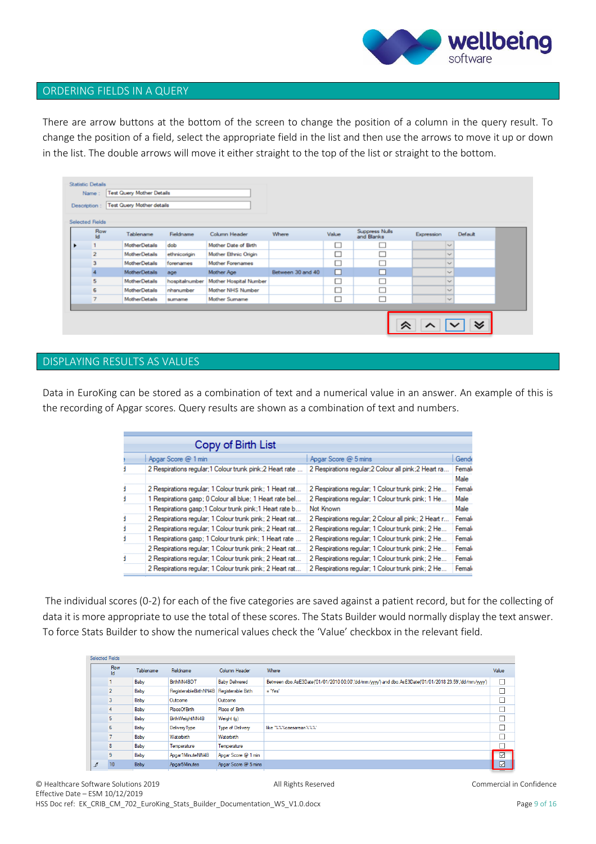

#### <span id="page-9-0"></span>ORDERING FIELDS IN A QUERY

There are arrow buttons at the bottom of the screen to change the position of a column in the query result. To change the position of a field, select the appropriate field in the list and then use the arrows to move it up or down in the list. The double arrows will move it either straight to the top of the list or straight to the bottom.

| <b>Statistic Details</b><br>Description: | Name:            | <b>Test Query Mother Details</b><br><b>Test Query Mother details</b> |                |                        |                   |        |                              |                                |
|------------------------------------------|------------------|----------------------------------------------------------------------|----------------|------------------------|-------------------|--------|------------------------------|--------------------------------|
| <b>Selected Fields</b>                   | Row<br><b>Id</b> | Tablename                                                            | Fieldname      | Column Header          | <b>Where</b>      | Value  | Suppress Nulls<br>and Blanks | Default<br>Expression          |
| ٠                                        | 1                | <b>MotherDetails</b>                                                 | dob            | Mother Date of Birth   |                   | ப      |                              | $\sim$                         |
|                                          | $\overline{2}$   | <b>MotherDetails</b>                                                 | ethnicorigin   | Mother Ethnic Origin   |                   | $\Box$ | ∟                            | $\sim$                         |
|                                          | 3                | <b>MotherDetails</b>                                                 | forenames      | Mother Forenames       |                   | -<br>ப |                              | $\sim$                         |
|                                          |                  | <b>MotherDetails</b>                                                 | age            | Mother Age             | Between 30 and 40 | $\Box$ | ⊏                            | $\sim$                         |
|                                          | 5                | <b>MotherDetails</b>                                                 | hospitalnumber | Mother Hospital Number |                   | O      | L                            | $\sim$                         |
|                                          | 6                | <b>MotherDetails</b>                                                 | nhanumber      | Mother NHS Number      |                   | с      |                              | $\sim$                         |
|                                          | $\overline{7}$   | <b>MotherDetails</b>                                                 | sumame         | Mother Sumame          |                   | c      |                              | $\sim$                         |
|                                          |                  |                                                                      |                |                        |                   |        |                              |                                |
|                                          |                  |                                                                      |                |                        |                   |        | ∝                            | $\boldsymbol{\mathsf{\omega}}$ |

#### <span id="page-9-1"></span>DISPLAYING RESULTS AS VALUES

Data in EuroKing can be stored as a combination of text and a numerical value in an answer. An example of this is the recording of Apgar scores. Query results are shown as a combination of text and numbers.

| Copy of Birth List                                       |                                                       |        |
|----------------------------------------------------------|-------------------------------------------------------|--------|
| Apgar Score @ 1 min                                      | Apgar Score @ 5 mins                                  | Gende  |
| 2 Respirations regular;1 Colour trunk pink;2 Heart rate  | 2 Respirations regular; 2 Colour all pink; 2 Heart ra | Female |
|                                                          |                                                       | Male   |
| 2 Respirations regular; 1 Colour trunk pink; 1 Heart rat | 2 Respirations regular; 1 Colour trunk pink; 2 He     | Female |
| 1 Respirations gasp; 0 Colour all blue; 1 Heart rate bel | 2 Respirations regular; 1 Colour trunk pink; 1 He     | Male   |
| 1 Respirations gasp;1 Colour trunk pink;1 Heart rate b   | Not Known                                             | Male   |
| 2 Respirations regular; 1 Colour trunk pink; 2 Heart rat | 2 Respirations regular; 2 Colour all pink; 2 Heart r  | Femal  |
| 2 Respirations regular; 1 Colour trunk pink; 2 Heart rat | 2 Respirations regular; 1 Colour trunk pink; 2 He     | Femal  |
| 1 Respirations gasp; 1 Colour trunk pink; 1 Heart rate   | 2 Respirations regular; 1 Colour trunk pink; 2 He     | Femal  |
| 2 Respirations regular: 1 Colour trunk pink: 2 Heart rat | 2 Respirations regular: 1 Colour trunk pink: 2 He     | Femal  |
| 2 Respirations regular; 1 Colour trunk pink; 2 Heart rat | 2 Respirations regular; 1 Colour trunk pink; 2 He     | Femal  |
| 2 Respirations regular; 1 Colour trunk pink; 2 Heart rat | 2 Respirations regular; 1 Colour trunk pink; 2 He     | Femal  |
|                                                          |                                                       |        |

The individual scores (0-2) for each of the five categories are saved against a patient record, but for the collecting of data it is more appropriate to use the total of these scores. The Stats Builder would normally display the text answer. To force Stats Builder to show the numerical values check the 'Value' checkbox in the relevant field.

| Selected Fields |                  |           |                         |                         |                                                                                                         |       |
|-----------------|------------------|-----------|-------------------------|-------------------------|---------------------------------------------------------------------------------------------------------|-------|
|                 | Row<br><b>Id</b> | Tablename | Fieldname               | Column Header           | Where                                                                                                   | Value |
|                 |                  | Baby      | BirthNN4BDT             | <b>Baby Delivered</b>   | Between dbo.AsE3Date('01/01/2010 00:00','dd/mm/yyyy') and dbo.AsE3Date('01/01/2018 23:59','dd/mm/yyyy') |       |
|                 | 2                | Baby      | Registerable Birth NN4B | Registerable Birth      | $=$ "Yes"                                                                                               | ப     |
|                 | 3                | Baby      | Outcome                 | Outcome                 |                                                                                                         |       |
|                 | 4                | Baby      | <b>PlaceOfBirth</b>     | Place of Birth          |                                                                                                         |       |
|                 | 5                | Baby      | BirthWeightNN4B         | Weight (g)              |                                                                                                         |       |
|                 | 6                | Baby      | Delivery Type           | <b>Type of Delivery</b> | like "%%%caesarean%%%"                                                                                  |       |
|                 |                  | Baby      | Waterbirth              | Waterbirth              |                                                                                                         |       |
|                 | 8                | Baby      | Temperature             | Temperature             |                                                                                                         |       |
|                 | 9                | Baby      | Apgar1MinuteNN4B        | Apgar Score @ 1 min     |                                                                                                         | ☑     |
| $\sqrt{2}$      | 10               | Baby      | Apgar5Minutes           | Apgar Score @ 5 mins    |                                                                                                         | ☑     |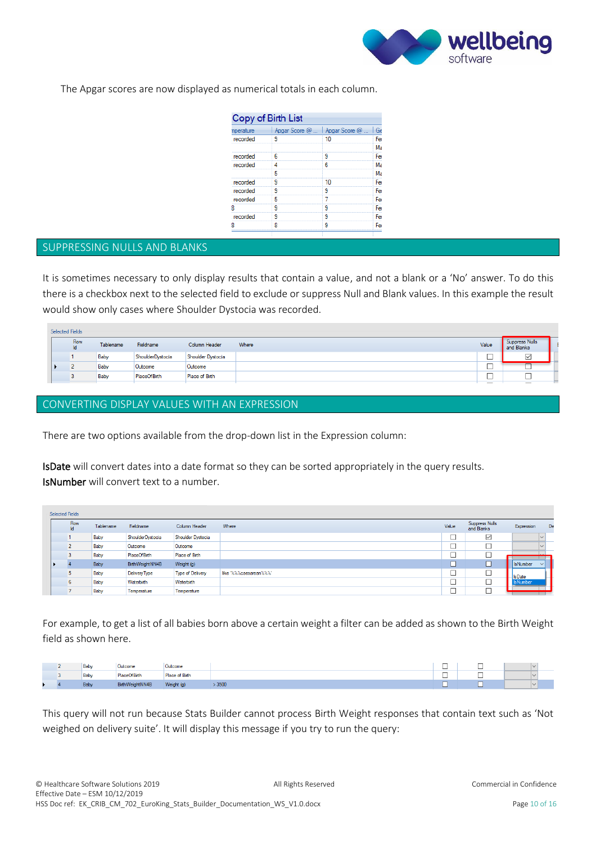

The Apgar scores are now displayed as numerical totals in each column.

|           | Copy of Birth List |                                |     |
|-----------|--------------------|--------------------------------|-----|
| nperature |                    | Apgar Score @    Apgar Score @ | Gе  |
| recorded  | ٩                  | 10                             | Fer |
|           |                    |                                | Ma  |
| recorded  | հ                  |                                | Fer |
| recorded  | Δ                  | հ                              | Ma  |
|           | 5                  |                                | Ma  |
| recorded  | ٩                  | 10                             | Fer |
| recorded  | 9                  | ٩                              | Fer |
| recorded  | 5                  |                                | Fer |
|           | q                  |                                | Fer |
| recorded  | 9                  | q                              | Fer |
|           | я                  |                                | Fe  |

#### <span id="page-10-0"></span>SUPPRESSING NULLS AND BLANKS

It is sometimes necessary to only display results that contain a value, and not a blank or a 'No' answer. To do this there is a checkbox next to the selected field to exclude or suppress Null and Blank values. In this example the result would show only cases where Shoulder Dystocia was recorded.

| Selected Fields |            |           |                  |                   |       |                               |                              |  |
|-----------------|------------|-----------|------------------|-------------------|-------|-------------------------------|------------------------------|--|
|                 | Row<br>Id. | Tablename | Fieldname        | Column Header     | Where | Value                         | Suppress Nulls<br>and Blanks |  |
|                 |            | Baby      | ShoulderDystocia | Shoulder Dystocia |       | $\overline{\phantom{a}}$      | $\checkmark$                 |  |
|                 |            | Baby      | Outcome          | Outcome           |       | 一                             | 一                            |  |
|                 |            | Baby      | PlaceOfBirth     | Place of Birth    |       | $\overline{\phantom{a}}$<br>一 |                              |  |
|                 |            |           |                  |                   |       |                               | $\overline{\phantom{a}}$     |  |

#### <span id="page-10-1"></span>CONVERTING DISPLAY VALUES WITH AN EXPRESSION

There are two options available from the drop-down list in the Expression column:

IsDate will convert dates into a date format so they can be sorted appropriately in the query results. IsNumber will convert text to a number.

| Selected Fields |                          |           |                  |                         |                        |                          |                               |                           |
|-----------------|--------------------------|-----------|------------------|-------------------------|------------------------|--------------------------|-------------------------------|---------------------------|
|                 | Row<br>Id.               | Tablename | Fieldname        | Column Header           | Where                  | Value                    | Suppress Nulls<br>and Blanks  | Expression<br>De          |
|                 |                          | Baby      | ShoulderDystocia | Shoulder Dystocia       |                        |                          | $\checkmark$                  |                           |
|                 | $\overline{\phantom{a}}$ | Baby      | Outcome          | Outcome                 |                        |                          |                               |                           |
|                 |                          | Baby      | PlaceOfBirth     | Place of Birth          |                        |                          |                               |                           |
|                 |                          | Baby      | BirthWeightNN4B  | Weight (g)              |                        | $\overline{\phantom{a}}$ | ¬<br>$\overline{\phantom{0}}$ | <b>IsNumber</b><br>$\sim$ |
|                 |                          | Baby      | Delivery Type    | <b>Type of Delivery</b> | like "%%%caesarean%%%" | ᅳ                        | □                             | <b>IsDate</b>             |
|                 | 6                        | Baby      | Waterbirth       | Waterbirth              |                        | ᅳ                        | ـــ                           | <b>IsNumber</b>           |
|                 |                          | Baby      | Temperature      | Temperature             |                        |                          | −                             |                           |

For example, to get a list of all babies born above a certain weight a filter can be added as shown to the Birth Weight field as shown here.

|  | <b>Bab</b> | <b>CONGUINE</b> | --------                |       |             | $\overline{\phantom{a}}$<br>$\overline{\phantom{0}}$ |  |
|--|------------|-----------------|-------------------------|-------|-------------|------------------------------------------------------|--|
|  | Baby       | PlaceOfBirth    | Place of Birth<br>DI-L- |       | $\sim$<br>ー | $\overline{\phantom{a}}$<br>$\overline{\phantom{0}}$ |  |
|  | Bab        | BirthWeightNN4B | Weight (g)              | >3500 |             |                                                      |  |

This query will not run because Stats Builder cannot process Birth Weight responses that contain text such as 'Not weighed on delivery suite'. It will display this message if you try to run the query: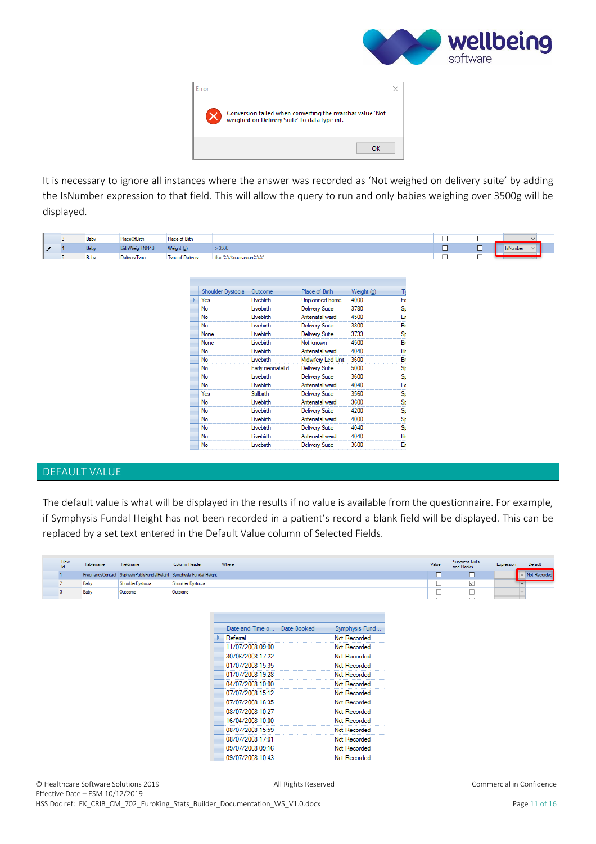



It is necessary to ignore all instances where the answer was recorded as 'Not weighed on delivery suite' by adding the IsNumber expression to that field. This will allow the query to run and only babies weighing over 3500g will be displayed.

|                     | 3              | Baby | <b>PlaceOfBirth</b> | Place of Birth   |                         |                  |                       |            |                  | $\Box$ | Е | $\checkmark$                    |
|---------------------|----------------|------|---------------------|------------------|-------------------------|------------------|-----------------------|------------|------------------|--------|---|---------------------------------|
| $\pmb{\mathcal{J}}$ | $\overline{4}$ | Baby | BirthWeightNN4B     | Weight (g)       | >3500                   |                  |                       |            |                  | $\Box$ | с | <b>IsNumber</b><br>$\checkmark$ |
|                     | 5              | Baby | DeliveryType        | Type of Delivery | like "%%%caesarean %%%" |                  |                       |            |                  | П      |   |                                 |
|                     |                |      |                     |                  |                         |                  |                       |            |                  |        |   |                                 |
|                     |                |      |                     |                  |                         |                  |                       |            |                  |        |   |                                 |
|                     |                |      |                     |                  |                         |                  |                       |            |                  |        |   |                                 |
|                     |                |      |                     |                  | Shoulder Dystocia       | Outcome          | Place of Birth        | Weight (g) | $\vert$ Ty       |        |   |                                 |
|                     |                |      |                     |                  | Yes                     | Livebirth        | Unplanned home        | 4000       | Fo               |        |   |                                 |
|                     |                |      |                     |                  | No                      | Livebirth        | <b>Delivery Suite</b> | 3780       | $\overline{s}$   |        |   |                                 |
|                     |                |      |                     |                  | No                      | Livebirth        | Antenatal ward        | 4500       | Er               |        |   |                                 |
|                     |                |      |                     |                  | No                      | Livebirth        | <b>Delivery Suite</b> | 3800       | Br               |        |   |                                 |
|                     |                |      |                     |                  | None                    | Livebirth        | <b>Delivery Suite</b> | 3733       | $S_F$            |        |   |                                 |
|                     |                |      |                     |                  | None                    | Livebirth        | Not known             | 4500       | Br               |        |   |                                 |
|                     |                |      |                     |                  | No                      | Livebirth        | Antenatal ward        | 4040       | Br               |        |   |                                 |
|                     |                |      |                     |                  | No                      | Livebirth        | Midwifery Led Unit    | 3600       | Br               |        |   |                                 |
|                     |                |      |                     |                  | No                      | Early neonatal d | <b>Delivery Suite</b> | 5000       | $S_{\rm F}$      |        |   |                                 |
|                     |                |      |                     |                  | No                      | Livebirth        | <b>Delivery Suite</b> | 3600       | $\overline{s_i}$ |        |   |                                 |
|                     |                |      |                     |                  | No                      | Livebirth        | Antenatal ward        | 4040       | Fo               |        |   |                                 |
|                     |                |      |                     |                  | Yes                     | Stillbirth       | <b>Delivery Suite</b> | 3560       | $\overline{s}$   |        |   |                                 |
|                     |                |      |                     |                  | No                      | Livebirth        | Antenatal ward        | 3600       | $S_{\rm F}$      |        |   |                                 |
|                     |                |      |                     |                  | No                      | Livebirth        | <b>Delivery Suite</b> | 4200       | $\overline{s}$   |        |   |                                 |
|                     |                |      |                     |                  | No                      | Livebirth        | Antenatal ward        | 4000       | $\overline{s}$   |        |   |                                 |
|                     |                |      |                     |                  | No                      | Livebirth        | <b>Delivery Suite</b> | 4040       | .<br>Sp          |        |   |                                 |
|                     |                |      |                     |                  | No                      | Livebirth        | Antenatal ward        | 4040       | Br               |        |   |                                 |
|                     |                |      |                     |                  | No                      | Livebirth        | <b>Delivery Suite</b> | 3600       | Ëñ               |        |   |                                 |
|                     |                |      |                     |                  |                         |                  |                       |            |                  |        |   |                                 |

#### <span id="page-11-0"></span>DEFAULT VALUE

The default value is what will be displayed in the results if no value is available from the questionnaire. For example, if Symphysis Fundal Height has not been recorded in a patient's record a blank field will be displayed. This can be replaced by a set text entered in the Default Value column of Selected Fields.

| Row | Tablename | Fieldname                                                          | Column Header                          | Where | Value                    | Suppress Nulls<br>and Blanks | Expression | <b>Default</b> |
|-----|-----------|--------------------------------------------------------------------|----------------------------------------|-------|--------------------------|------------------------------|------------|----------------|
|     |           | PregnancyContact SyphysisPubisFundalHeight Symphysis Fundal Height |                                        |       |                          |                              |            | Not Recorded   |
|     | Baby      | ShoulderDystocia                                                   | Shoulder Dystocia                      |       | _                        |                              |            |                |
|     | Baby      | Outcome                                                            | Outcome                                |       | ــ                       |                              |            |                |
|     | . .       | <b>Service</b><br>-                                                | <b>Contractor</b><br><b>CONTRACTOR</b> |       | $\overline{\phantom{0}}$ | $\overline{ }$               |            |                |

| Date and Time o   Date Booked | Symphysis Fund |
|-------------------------------|----------------|
| Referral                      | Not Recorded   |
| 11/07/2008 09:00              | Not Recorded   |
| 30/06/2008 17:22              | Not Recorded   |
| 01/07/2008 15:35              | Not Recorded   |
| 01/07/2008 19:28              | Not Recorded   |
| 04/07/2008 10:00              | Not Recorded   |
| 07/07/2008 15:12              | Not Recorded   |
| 07/07/2008 16:35              | Not Recorded   |
| 08/07/2008 10:27              | Not Recorded   |
| 16/04/2008 10:00              | Not Recorded   |
| 08/07/2008 15:59              | Not Recorded   |
| 08/07/2008 17:01              | Not Recorded   |
| 09/07/2008 09:16              | Not Recorded   |
| 09/07/2008 10:43              | Not Recorded   |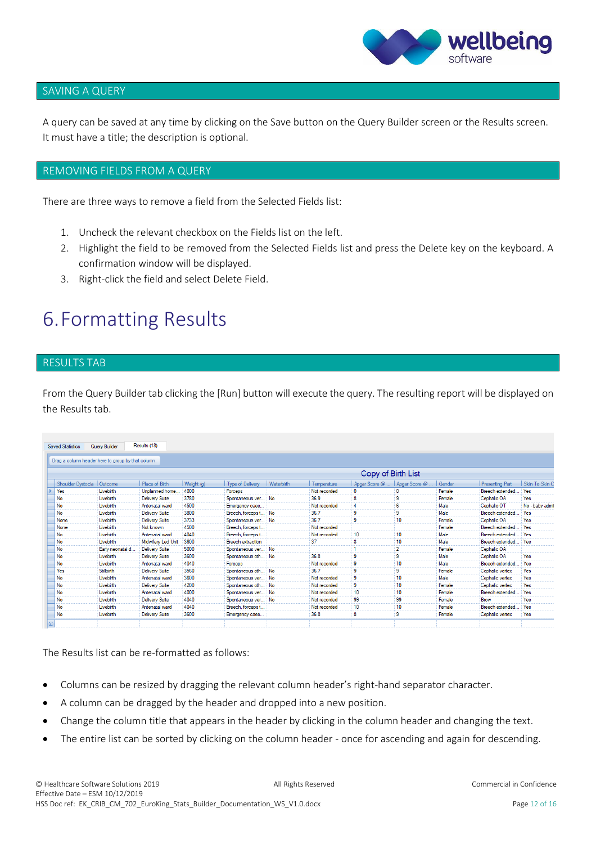

#### <span id="page-12-0"></span>SAVING A QUERY

A query can be saved at any time by clicking on the Save button on the Query Builder screen or the Results screen. It must have a title; the description is optional.

#### <span id="page-12-1"></span>REMOVING FIELDS FROM A QUERY

There are three ways to remove a field from the Selected Fields list:

- 1. Uncheck the relevant checkbox on the Fields list on the left.
- 2. Highlight the field to be removed from the Selected Fields list and press the Delete key on the keyboard. A confirmation window will be displayed.
- 3. Right-click the field and select Delete Field.

### <span id="page-12-2"></span>6.Formatting Results

#### <span id="page-12-3"></span>RESULTS TAB

From the Query Builder tab clicking the [Run] button will execute the query. The resulting report will be displayed on the Results tab.

| <b>Saved Statistics</b>                            | <b>Query Builder</b> | Results (18)          |            |                          |            |              |                    |                                |        |                        |                 |
|----------------------------------------------------|----------------------|-----------------------|------------|--------------------------|------------|--------------|--------------------|--------------------------------|--------|------------------------|-----------------|
| Drag a column header here to group by that column. |                      |                       |            |                          |            |              |                    |                                |        |                        |                 |
|                                                    |                      |                       |            |                          |            |              | Copy of Birth List |                                |        |                        |                 |
| Shoulder Dystocia   Outcome                        |                      | Place of Birth        | Weight (g) | Type of Delivery         | Waterbirth | Temperature  |                    | Apgar Score @    Apgar Score @ | Gender | <b>Presenting Part</b> | Skin To Skin C  |
| Yes                                                | Livebirth            | Unplanned home        | 4000       | Forceps                  |            | Not recorded | $\Omega$           |                                | Female | Breech extended.       | Yes             |
| No                                                 | Livebirth            | <b>Delivery Suite</b> | 3780       | Spontaneous ver No       |            | 36.9         | 8                  | 9                              | Female | Cephalic OA            | Yes             |
| No                                                 | Livebirth            | Antenatal ward        | 4500       | Emergency caes           |            | Not recorded | 4                  | 6                              | Male   | Cephalic OT            | No - baby admit |
| <b>No</b>                                          | Livebirth            | <b>Delivery Suite</b> | 3800       | Breech, forceps t No     |            | 36.7         | 9                  | 9                              | Male   | Breech extended.       | Yes             |
| None                                               | Livebirth            | <b>Delivery Suite</b> | 3733       | Spontaneous ver No       |            | 367          | 9                  | 10                             | Female | Cephalic OA            | Yes             |
| None                                               | Livebirth            | Not known             | 4500       | Breech, forceps t        |            | Not recorded |                    |                                | Female | Breech extended.       | Yes             |
| No                                                 | Livebirth            | Antenatal ward        | 4040       | Breech, forceps t        |            | Not recorded | 10                 | 10                             | Male   | Breech extended        | Yes             |
| No                                                 | Livebirth            | Midwifery Led Unit    | 3600       | <b>Breech</b> extraction |            | 37           | 8                  | 10                             | Male   | Breech extended        | Yes             |
| No                                                 | Early neonatal d     | <b>Delivery Suite</b> | 5000       | Spontaneous ver No       |            |              |                    | $\overline{2}$                 | Female | Cephalic OA            |                 |
| No                                                 | Livebirth            | <b>Delivery Suite</b> | 3600       | Spontaneous oth No       |            | 36.8         | 9                  | 9                              | Male   | Cephalic OA            | Yes             |
| No                                                 | Livebirth            | Antenatal ward        | 4040       | Forceps                  |            | Not recorded | 9                  | 10                             | Male   | Breech extended.       | Yes             |
| Yes                                                | Stillbirth           | <b>Delivery Suite</b> | 3560       | Spontaneous oth No       |            | 36.7         | 9                  | 9                              | Female | Cephalic vertex        | Yes             |
| No                                                 | Livebirth            | Antenatal ward        | 3600       | Spontaneous ver No       |            | Not recorded | 9                  | 10                             | Male   | Cephalic vertex        | Yes             |
| No                                                 | Livebirth            | <b>Delivery Suite</b> | 4200       | Spontaneous oth No       |            | Not recorded | 9                  | 10                             | Female | Cephalic vertex        | Yes             |
| No                                                 | Livebirth            | Antenatal ward        | 4000       | Spontaneous ver          | <b>No</b>  | Not recorded | 10                 | 10                             | Female | Breech extended.       | Yes             |
| No                                                 | Livebirth            | <b>Delivery Suite</b> | 4040       | Spontaneous ver          | : No       | Not recorded | 99                 | 99                             | Female | Brow                   | Yes             |
| No                                                 | Livebirth            | Antenatal ward        | 4040       | Breech, forceps t        |            | Not recorded | 10                 | 10                             | Female | Breech extended.       | Yes             |
| No                                                 | Livebirth            | <b>Delivery Suite</b> | 3600       | Emergency caes           |            | 36.8         | 8                  | 9                              | Female | Cephalic vertex        | Yes             |

The Results list can be re-formatted as follows:

- Columns can be resized by dragging the relevant column header's right-hand separator character.
- A column can be dragged by the header and dropped into a new position.
- Change the column title that appears in the header by clicking in the column header and changing the text.
- The entire list can be sorted by clicking on the column header once for ascending and again for descending.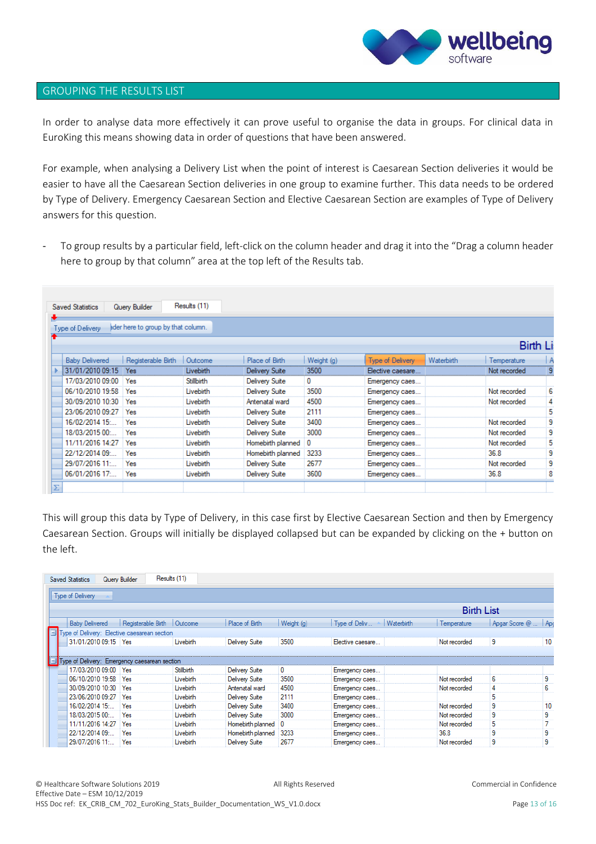

#### <span id="page-13-0"></span>GROUPING THE RESULTS LIST

In order to analyse data more effectively it can prove useful to organise the data in groups. For clinical data in EuroKing this means showing data in order of questions that have been answered.

For example, when analysing a Delivery List when the point of interest is Caesarean Section deliveries it would be easier to have all the Caesarean Section deliveries in one group to examine further. This data needs to be ordered by Type of Delivery. Emergency Caesarean Section and Elective Caesarean Section are examples of Type of Delivery answers for this question.

To group results by a particular field, left-click on the column header and drag it into the "Drag a column header here to group by that column" area at the top left of the Results tab.

| Type of Delivery      | ader here to group by that column. |            |                       |            |                         |            |                 |   |
|-----------------------|------------------------------------|------------|-----------------------|------------|-------------------------|------------|-----------------|---|
|                       |                                    |            |                       |            |                         |            | <b>Birth Li</b> |   |
| <b>Baby Delivered</b> | Registerable Birth                 | Outcome    | Place of Birth        | Weight (g) | <b>Type of Delivery</b> | Waterbirth | Temperature     |   |
| 31/01/2010 09:15      | Yes                                | Livebirth  | Delivery Suite        | 3500       | Elective caesare        |            | Not recorded    |   |
| 17/03/2010 09:00      | Yes                                | Stillbirth | <b>Delivery Suite</b> | 0          | Emergency caes          |            |                 |   |
| 06/10/2010 19:58      | Yes                                | Livebirth  | <b>Delivery Suite</b> | 3500       | Emergency caes          |            | Not recorded    | 6 |
| 30/09/2010 10:30      | Yes                                | Livebirth  | Antenatal ward        | 4500       | Emergency caes          |            | Not recorded    | 4 |
| 23/06/2010 09:27      | Yes                                | Livebirth  | <b>Delivery Suite</b> | 2111       | Emergency caes          |            |                 | 5 |
| 16/02/2014 15:        | Yes                                | Livebirth  | <b>Delivery Suite</b> | 3400       | Emergency caes          |            | Not recorded    | 9 |
| 18/03/2015 00:        | Yes                                | Livebirth  | <b>Delivery Suite</b> | 3000       | Emergency caes          |            | Not recorded    | 9 |
| 11/11/2016 14:27      | Yes                                | Livebirth  | Homebirth planned 0   |            | Emergency caes          |            | Not recorded    | 5 |
| 22/12/2014 09:        | Yes                                | Livebirth  | Homebirth planned     | 3233       | Emergency caes          |            | 36.8            | 9 |
| 29/07/2016 11:        | Yes                                | Livebirth  | <b>Delivery Suite</b> | 2677       | Emergency caes          |            | Not recorded    | 9 |
| 06/01/2016 17:        | Yes                                | Livebirth  | <b>Delivery Suite</b> | 3600       | Emergency caes          |            | 36.8            | 8 |

This will group this data by Type of Delivery, in this case first by Elective Caesarean Section and then by Emergency Caesarean Section. Groups will initially be displayed collapsed but can be expanded by clicking on the + button on the left.

| <b>Saved Statistics</b>                                               | Query Builder                | Results (11) |                       |            |                                    |                   |                      |    |
|-----------------------------------------------------------------------|------------------------------|--------------|-----------------------|------------|------------------------------------|-------------------|----------------------|----|
| Type of Delivery                                                      |                              |              |                       |            |                                    |                   |                      |    |
|                                                                       |                              |              |                       |            |                                    | <b>Birth List</b> |                      |    |
| <b>Baby Delivered</b>                                                 | Registerable Birth   Outcome |              | Place of Birth        | Weight (g) | Type of Deliv<br><b>Waterbirth</b> | Temperature       | Apgar Score @    Apc |    |
| Type of Delivery: Elective caesarean section                          |                              |              |                       |            |                                    |                   |                      |    |
| 31/01/2010 09:15 Yes                                                  |                              | Livebirth    | <b>Delivery Suite</b> | 3500       | Elective caesare                   | Not recorded      | 9                    | 10 |
| Type of Delivery: Emergency caesarean section<br>17/03/2010 09:00 Yes |                              | Stillbirth   | <b>Delivery Suite</b> | 0          | Emergency caes                     |                   |                      |    |
| 06/10/2010 19:58                                                      | Yes                          | Livebirth    | <b>Delivery Suite</b> | 3500       | Emergency caes                     | Not recorded      | 6                    | 9  |
| 30/09/2010 10:30                                                      | Yes                          | Livebirth    | Antenatal ward        | 4500       | Emergency caes                     | Not recorded      | 4                    | 6  |
| 23/06/2010 09:27                                                      | Yes                          | Livebirth    | Delivery Suite        | 2111       | Emergency caes                     |                   | 5                    |    |
| 16/02/2014 15:                                                        | Yes                          | Livebirth    | Delivery Suite        | 3400       | Emergency caes                     | Not recorded      | 9                    | 10 |
| 18/03/2015 00:                                                        | Yes                          | Livebirth    | <b>Delivery Suite</b> | 3000       | Emergency caes                     | Not recorded      | 9                    | 9  |
| 11/11/2016 14:27                                                      | Yes                          | Livebirth    | Homebirth planned     | 0          | Emergency caes                     | Not recorded      | 5                    |    |
| 22/12/2014 09:                                                        | Yes                          | Livebirth    | Homebirth planned     | 3233       | Emergency caes                     | 36.8              | 9                    | 9  |
| 29/07/2016 11:                                                        | Yes                          | Livebirth    | Delivery Suite        | 2677       | Emergency caes                     | Not recorded      | 9                    | 9  |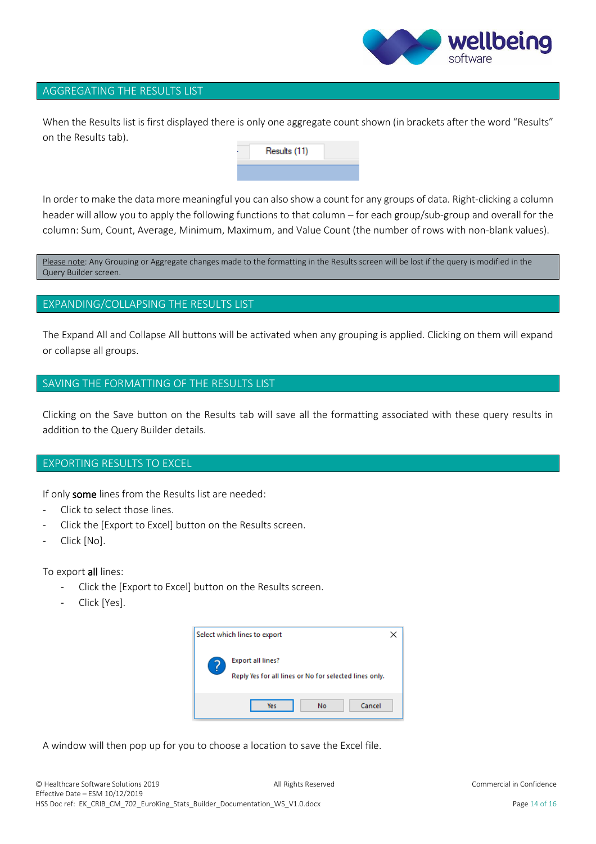

#### <span id="page-14-0"></span>AGGREGATING THE RESULTS LIST

When the Results list is first displayed there is only one aggregate count shown (in brackets after the word "Results" on the Results tab).

Results (11)

In order to make the data more meaningful you can also show a count for any groups of data. Right-clicking a column header will allow you to apply the following functions to that column – for each group/sub-group and overall for the column: Sum, Count, Average, Minimum, Maximum, and Value Count (the number of rows with non-blank values).

Please note: Any Grouping or Aggregate changes made to the formatting in the Results screen will be lost if the query is modified in the Query Builder screen.

#### <span id="page-14-1"></span>EXPANDING/COLLAPSING THE RESULTS LIST

The Expand All and Collapse All buttons will be activated when any grouping is applied. Clicking on them will expand or collapse all groups.

#### <span id="page-14-2"></span>SAVING THE FORMATTING OF THE RESULTS LIST

Clicking on the Save button on the Results tab will save all the formatting associated with these query results in addition to the Query Builder details.

#### <span id="page-14-3"></span>EXPORTING RESULTS TO EXCEL

If only some lines from the Results list are needed:

- Click to select those lines.
- Click the [Export to Excel] button on the Results screen.
- Click [No].

To export all lines:

- Click the [Export to Excel] button on the Results screen.
- Click [Yes].



A window will then pop up for you to choose a location to save the Excel file.